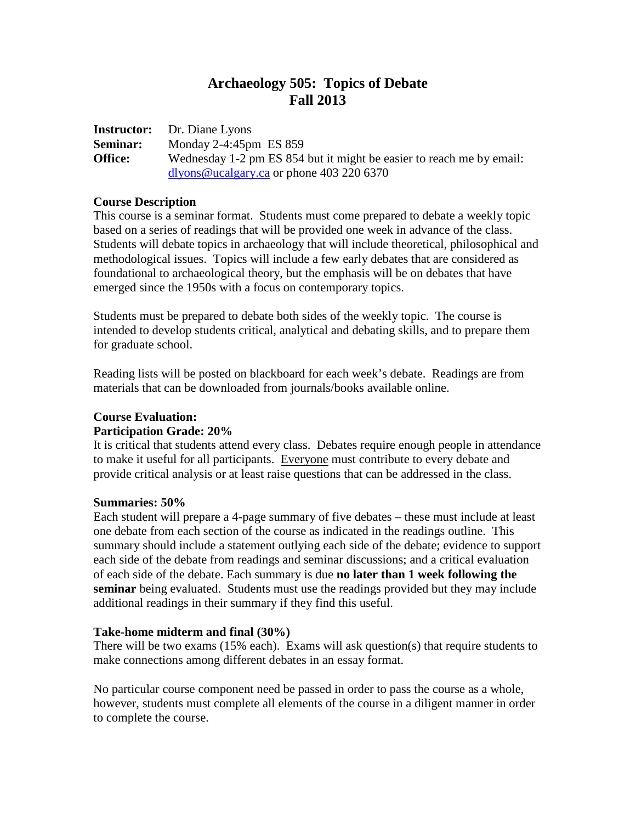# **Archaeology 505: Topics of Debate Fall 2013**

**Instructor:** Dr. Diane Lyons **Seminar:** Monday 2-4:45pm ES 859 **Office:** Wednesday 1-2 pm ES 854 but it might be easier to reach me by email: [dlyons@ucalgary.ca](mailto:dlyons@ucalgary.ca) or phone 403 220 6370

#### **Course Description**

This course is a seminar format. Students must come prepared to debate a weekly topic based on a series of readings that will be provided one week in advance of the class. Students will debate topics in archaeology that will include theoretical, philosophical and methodological issues. Topics will include a few early debates that are considered as foundational to archaeological theory, but the emphasis will be on debates that have emerged since the 1950s with a focus on contemporary topics.

Students must be prepared to debate both sides of the weekly topic. The course is intended to develop students critical, analytical and debating skills, and to prepare them for graduate school.

Reading lists will be posted on blackboard for each week's debate. Readings are from materials that can be downloaded from journals/books available online.

### **Course Evaluation:**

### **Participation Grade: 20%**

It is critical that students attend every class. Debates require enough people in attendance to make it useful for all participants. Everyone must contribute to every debate and provide critical analysis or at least raise questions that can be addressed in the class.

### **Summaries: 50%**

Each student will prepare a 4-page summary of five debates – these must include at least one debate from each section of the course as indicated in the readings outline. This summary should include a statement outlying each side of the debate; evidence to support each side of the debate from readings and seminar discussions; and a critical evaluation of each side of the debate. Each summary is due **no later than 1 week following the seminar** being evaluated. Students must use the readings provided but they may include additional readings in their summary if they find this useful.

### **Take-home midterm and final (30%)**

There will be two exams (15% each). Exams will ask question(s) that require students to make connections among different debates in an essay format.

No particular course component need be passed in order to pass the course as a whole, however, students must complete all elements of the course in a diligent manner in order to complete the course.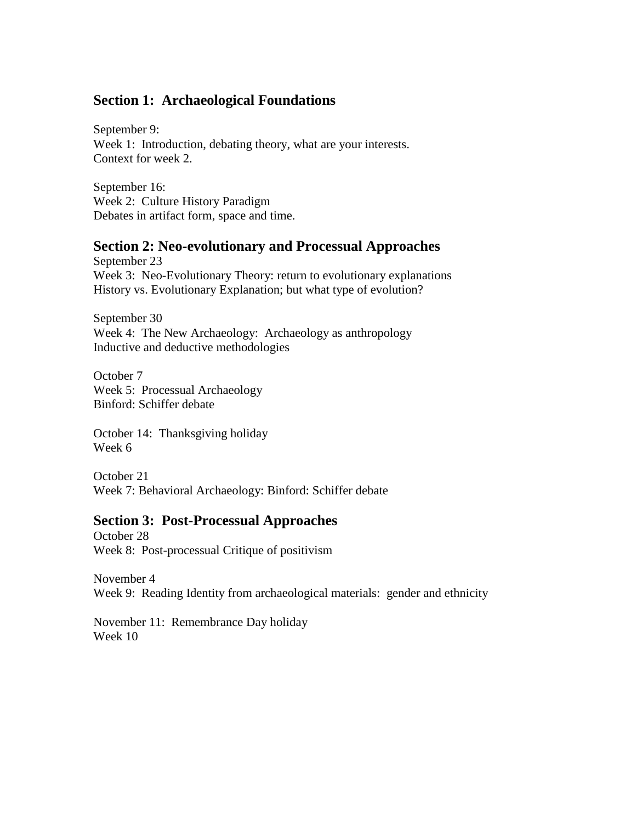# **Section 1: Archaeological Foundations**

September 9: Week 1: Introduction, debating theory, what are your interests. Context for week 2.

September 16: Week 2: Culture History Paradigm Debates in artifact form, space and time.

## **Section 2: Neo-evolutionary and Processual Approaches**

September 23 Week 3: Neo-Evolutionary Theory: return to evolutionary explanations History vs. Evolutionary Explanation; but what type of evolution?

September 30 Week 4: The New Archaeology: Archaeology as anthropology Inductive and deductive methodologies

October 7 Week 5: Processual Archaeology Binford: Schiffer debate

October 14: Thanksgiving holiday Week 6

October 21 Week 7: Behavioral Archaeology: Binford: Schiffer debate

## **Section 3: Post-Processual Approaches**

October 28 Week 8: Post-processual Critique of positivism

November 4 Week 9: Reading Identity from archaeological materials: gender and ethnicity

November 11: Remembrance Day holiday Week 10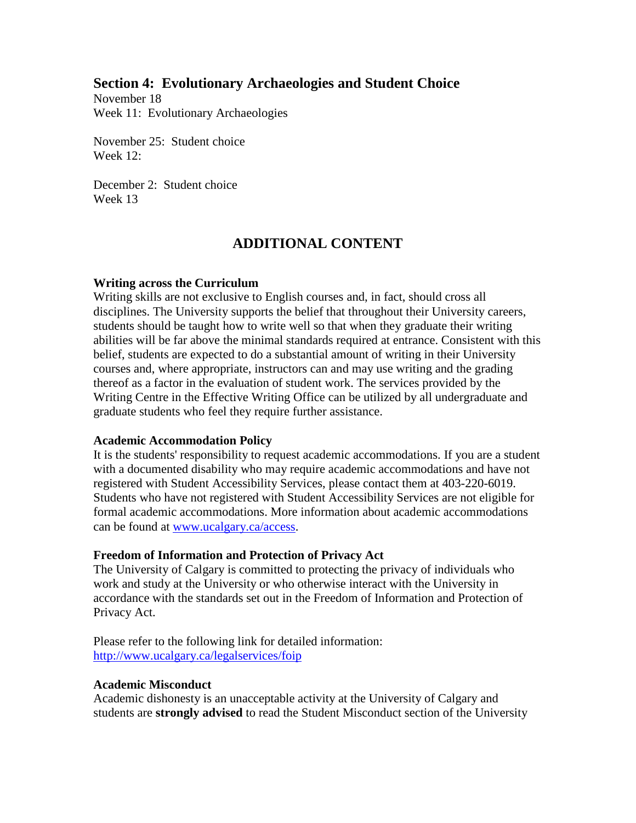## **Section 4: Evolutionary Archaeologies and Student Choice**

November 18 Week 11: Evolutionary Archaeologies

November 25: Student choice Week 12:

December 2: Student choice Week 13

# **ADDITIONAL CONTENT**

### **Writing across the Curriculum**

Writing skills are not exclusive to English courses and, in fact, should cross all disciplines. The University supports the belief that throughout their University careers, students should be taught how to write well so that when they graduate their writing abilities will be far above the minimal standards required at entrance. Consistent with this belief, students are expected to do a substantial amount of writing in their University courses and, where appropriate, instructors can and may use writing and the grading thereof as a factor in the evaluation of student work. The services provided by the Writing Centre in the Effective Writing Office can be utilized by all undergraduate and graduate students who feel they require further assistance.

### **Academic Accommodation Policy**

It is the students' responsibility to request academic accommodations. If you are a student with a documented disability who may require academic accommodations and have not registered with Student Accessibility Services, please contact them at 403-220-6019. Students who have not registered with Student Accessibility Services are not eligible for formal academic accommodations. More information about academic accommodations can be found at [www.ucalgary.ca/access.](http://www.ucalgary.ca/access)

### **Freedom of Information and Protection of Privacy Act**

The University of Calgary is committed to protecting the privacy of individuals who work and study at the University or who otherwise interact with the University in accordance with the standards set out in the Freedom of Information and Protection of Privacy Act.

Please refer to the following link for detailed information: <http://www.ucalgary.ca/legalservices/foip>

### **Academic Misconduct**

Academic dishonesty is an unacceptable activity at the University of Calgary and students are **strongly advised** to read the Student Misconduct section of the University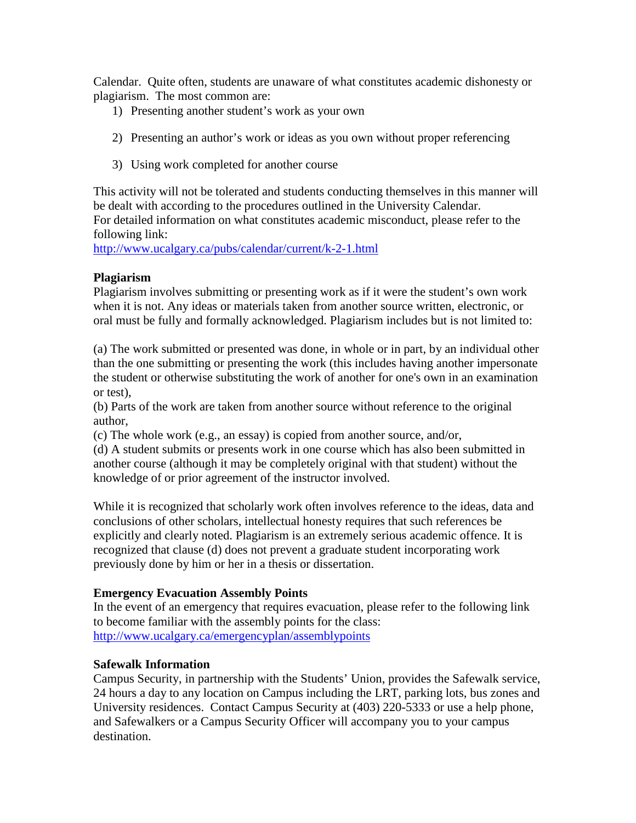Calendar. Quite often, students are unaware of what constitutes academic dishonesty or plagiarism. The most common are:

- 1) Presenting another student's work as your own
- 2) Presenting an author's work or ideas as you own without proper referencing
- 3) Using work completed for another course

This activity will not be tolerated and students conducting themselves in this manner will be dealt with according to the procedures outlined in the University Calendar. For detailed information on what constitutes academic misconduct, please refer to the following link:

<http://www.ucalgary.ca/pubs/calendar/current/k-2-1.html>

### **Plagiarism**

Plagiarism involves submitting or presenting work as if it were the student's own work when it is not. Any ideas or materials taken from another source written, electronic, or oral must be fully and formally acknowledged. Plagiarism includes but is not limited to:

(a) The work submitted or presented was done, in whole or in part, by an individual other than the one submitting or presenting the work (this includes having another impersonate the student or otherwise substituting the work of another for one's own in an examination or test),

(b) Parts of the work are taken from another source without reference to the original author,

(c) The whole work (e.g., an essay) is copied from another source, and/or,

(d) A student submits or presents work in one course which has also been submitted in another course (although it may be completely original with that student) without the knowledge of or prior agreement of the instructor involved.

While it is recognized that scholarly work often involves reference to the ideas, data and conclusions of other scholars, intellectual honesty requires that such references be explicitly and clearly noted. Plagiarism is an extremely serious academic offence. It is recognized that clause (d) does not prevent a graduate student incorporating work previously done by him or her in a thesis or dissertation.

### **Emergency Evacuation Assembly Points**

In the event of an emergency that requires evacuation, please refer to the following link to become familiar with the assembly points for the class: <http://www.ucalgary.ca/emergencyplan/assemblypoints>

### **Safewalk Information**

Campus Security, in partnership with the Students' Union, provides the Safewalk service, 24 hours a day to any location on Campus including the LRT, parking lots, bus zones and University residences. Contact Campus Security at (403) 220-5333 or use a help phone, and Safewalkers or a Campus Security Officer will accompany you to your campus destination.